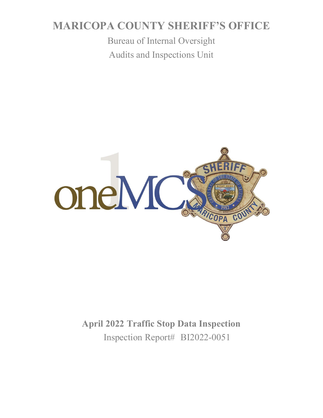# **MARICOPA COUNTY SHERIFF'S OFFICE**

Bureau of Internal Oversight Audits and Inspections Unit



# **April 2022 Traffic Stop Data Inspection** Inspection Report# BI2022-0051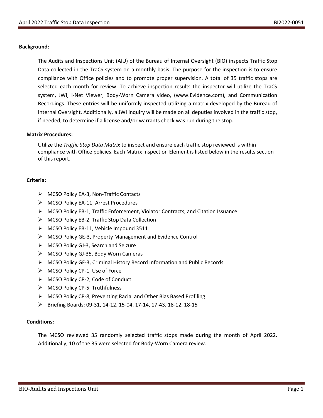### **Background:**

The Audits and Inspections Unit (AIU) of the Bureau of Internal Oversight (BIO) inspects Traffic Stop Data collected in the TraCS system on a monthly basis. The purpose for the inspection is to ensure compliance with Office policies and to promote proper supervision. A total of 35 traffic stops are selected each month for review. To achieve inspection results the inspector will utilize the TraCS system, JWI, I-Net Viewer, Body-Worn Camera video, (www.Evidence.com), and Communication Recordings. These entries will be uniformly inspected utilizing a matrix developed by the Bureau of Internal Oversight. Additionally, a JWI inquiry will be made on all deputies involved in the traffic stop, if needed, to determine if a license and/or warrants check was run during the stop.

#### **Matrix Procedures:**

Utilize the *Traffic Stop Data Matrix* to inspect and ensure each traffic stop reviewed is within compliance with Office policies. Each Matrix Inspection Element is listed below in the results section of this report.

### **Criteria:**

- ➢ MCSO Policy EA-3, Non-Traffic Contacts
- ➢ MCSO Policy EA-11, Arrest Procedures
- ➢ MCSO Policy EB-1, Traffic Enforcement, Violator Contracts, and Citation Issuance
- ➢ MCSO Policy EB-2, Traffic Stop Data Collection
- ➢ MCSO Policy EB-11, Vehicle Impound 3511
- ➢ MCSO Policy GE-3, Property Management and Evidence Control
- ➢ MCSO Policy GJ-3, Search and Seizure
- ➢ MCSO Policy GJ-35, Body Worn Cameras
- ➢ MCSO Policy GF-3, Criminal History Record Information and Public Records
- ➢ MCSO Policy CP-1, Use of Force
- ➢ MCSO Policy CP-2, Code of Conduct
- ➢ MCSO Policy CP-5, Truthfulness
- ➢ MCSO Policy CP-8, Preventing Racial and Other Bias Based Profiling
- ➢ Briefing Boards: 09-31, 14-12, 15-04, 17-14, 17-43, 18-12, 18-15

### **Conditions:**

The MCSO reviewed 35 randomly selected traffic stops made during the month of April 2022. Additionally, 10 of the 35 were selected for Body-Worn Camera review.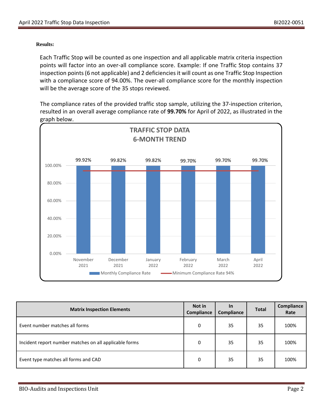### **Results:**

Each Traffic Stop will be counted as one inspection and all applicable matrix criteria inspection points will factor into an over-all compliance score. Example: If one Traffic Stop contains 37 inspection points (6 not applicable) and 2 deficiencies it will count as one Traffic Stop Inspection with a compliance score of 94.00%. The over-all compliance score for the monthly inspection will be the average score of the 35 stops reviewed.

The compliance rates of the provided traffic stop sample, utilizing the 37-inspection criterion, resulted in an overall average compliance rate of **99.70%** for April of 2022, as illustrated in the graph below.



| <b>Matrix Inspection Elements</b>                      | Not in<br>Compliance | <u>In</u><br>Compliance | <b>Total</b> | Compliance<br>Rate |
|--------------------------------------------------------|----------------------|-------------------------|--------------|--------------------|
| Event number matches all forms                         | 0                    | 35                      | 35           | 100%               |
| Incident report number matches on all applicable forms | 0                    | 35                      | 35           | 100%               |
| Event type matches all forms and CAD                   | 0                    | 35                      | 35           | 100%               |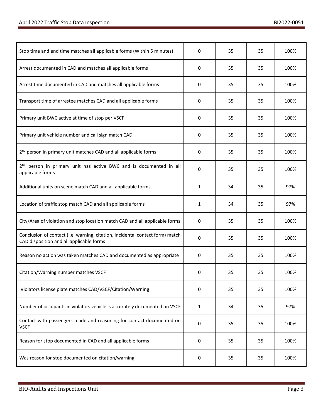| Stop time and end time matches all applicable forms (Within 5 minutes)                                                    | 0 | 35 | 35 | 100% |
|---------------------------------------------------------------------------------------------------------------------------|---|----|----|------|
| Arrest documented in CAD and matches all applicable forms                                                                 | 0 | 35 | 35 | 100% |
| Arrest time documented in CAD and matches all applicable forms                                                            | 0 | 35 | 35 | 100% |
| Transport time of arrestee matches CAD and all applicable forms                                                           | 0 | 35 | 35 | 100% |
| Primary unit BWC active at time of stop per VSCF                                                                          | 0 | 35 | 35 | 100% |
| Primary unit vehicle number and call sign match CAD                                                                       | 0 | 35 | 35 | 100% |
| 2 <sup>nd</sup> person in primary unit matches CAD and all applicable forms                                               | 0 | 35 | 35 | 100% |
| 2 <sup>nd</sup> person in primary unit has active BWC and is documented in all<br>applicable forms                        | 0 | 35 | 35 | 100% |
| Additional units on scene match CAD and all applicable forms                                                              | 1 | 34 | 35 | 97%  |
| Location of traffic stop match CAD and all applicable forms                                                               | 1 | 34 | 35 | 97%  |
| City/Area of violation and stop location match CAD and all applicable forms                                               | 0 | 35 | 35 | 100% |
| Conclusion of contact (i.e. warning, citation, incidental contact form) match<br>CAD disposition and all applicable forms | 0 | 35 | 35 | 100% |
| Reason no action was taken matches CAD and documented as appropriate                                                      | 0 | 35 | 35 | 100% |
| Citation/Warning number matches VSCF                                                                                      | 0 | 35 | 35 | 100% |
| Violators license plate matches CAD/VSCF/Citation/Warning                                                                 | 0 | 35 | 35 | 100% |
| Number of occupants in violators vehicle is accurately documented on VSCF                                                 | 1 | 34 | 35 | 97%  |
| Contact with passengers made and reasoning for contact documented on<br><b>VSCF</b>                                       | 0 | 35 | 35 | 100% |
| Reason for stop documented in CAD and all applicable forms                                                                | 0 | 35 | 35 | 100% |
| Was reason for stop documented on citation/warning                                                                        | 0 | 35 | 35 | 100% |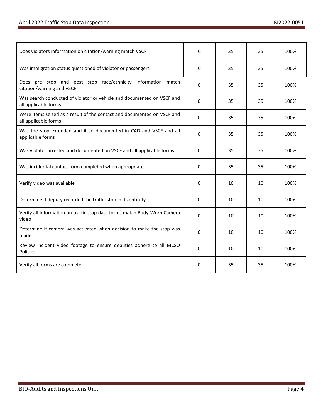| Does violators information on citation/warning match VSCF                                       | 0            | 35 | 35 | 100% |
|-------------------------------------------------------------------------------------------------|--------------|----|----|------|
| Was immigration status questioned of violator or passengers                                     | 0            | 35 | 35 | 100% |
| Does pre stop and post stop race/ethnicity information match<br>citation/warning and VSCF       | 0            | 35 | 35 | 100% |
| Was search conducted of violator or vehicle and documented on VSCF and<br>all applicable forms  | 0            | 35 | 35 | 100% |
| Were items seized as a result of the contact and documented on VSCF and<br>all applicable forms | 0            | 35 | 35 | 100% |
| Was the stop extended and if so documented in CAD and VSCF and all<br>applicable forms          | $\Omega$     | 35 | 35 | 100% |
| Was violator arrested and documented on VSCF and all applicable forms                           | 0            | 35 | 35 | 100% |
| Was incidental contact form completed when appropriate                                          | 0            | 35 | 35 | 100% |
| Verify video was available                                                                      | 0            | 10 | 10 | 100% |
| Determine if deputy recorded the traffic stop in its entirety                                   | 0            | 10 | 10 | 100% |
| Verify all information on traffic stop data forms match Body-Worn Camera<br>video               | 0            | 10 | 10 | 100% |
| Determine if camera was activated when decision to make the stop was<br>made                    | 0            | 10 | 10 | 100% |
| Review incident video footage to ensure deputies adhere to all MCSO<br>Policies                 | $\mathbf{0}$ | 10 | 10 | 100% |
| Verify all forms are complete                                                                   | 0            | 35 | 35 | 100% |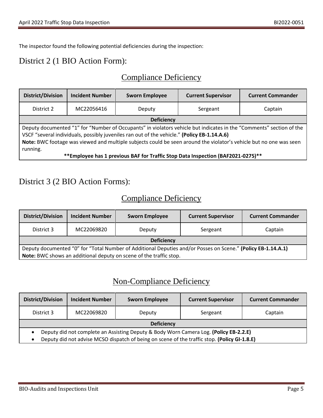The inspector found the following potential deficiencies during the inspection:

### District 2 (1 BIO Action Form):

# Compliance Deficiency

| <b>District/Division</b>                                                                                                                                                                                                                                                                                                                             | <b>Incident Number</b> | <b>Sworn Employee</b> | <b>Current Supervisor</b> | <b>Current Commander</b> |  |
|------------------------------------------------------------------------------------------------------------------------------------------------------------------------------------------------------------------------------------------------------------------------------------------------------------------------------------------------------|------------------------|-----------------------|---------------------------|--------------------------|--|
| District 2                                                                                                                                                                                                                                                                                                                                           | MC22056416             | Deputy                | Sergeant                  | Captain                  |  |
| <b>Deficiency</b>                                                                                                                                                                                                                                                                                                                                    |                        |                       |                           |                          |  |
| Deputy documented "1" for "Number of Occupants" in violators vehicle but indicates in the "Comments" section of the<br>VSCF "several individuals, possibly juveniles ran out of the vehicle." (Policy EB-1.14.A.6)<br>Note: BWC footage was viewed and multiple subjects could be seen around the violator's vehicle but no one was seen<br>running. |                        |                       |                           |                          |  |
| **Employee has 1 previous BAF for Traffic Stop Data Inspection (BAF2021-0275)**                                                                                                                                                                                                                                                                      |                        |                       |                           |                          |  |

### District 3 (2 BIO Action Forms):

# Compliance Deficiency

| <b>District/Division</b>                                                                                     | <b>Incident Number</b> | <b>Sworn Employee</b> | <b>Current Supervisor</b> | <b>Current Commander</b> |
|--------------------------------------------------------------------------------------------------------------|------------------------|-----------------------|---------------------------|--------------------------|
| District 3                                                                                                   | MC22069820             | Deputy                | Sergeant                  | Captain                  |
| <b>Deficiency</b>                                                                                            |                        |                       |                           |                          |
| Deputy documented "0" for "Total Number of Additional Deputies and/or Posses on Scene." (Policy EB-1.14.A.1) |                        |                       |                           |                          |
| Note: BWC shows an additional deputy on scene of the traffic stop.                                           |                        |                       |                           |                          |

# Non-Compliance Deficiency

| <b>District/Division</b>                                                                           | <b>Incident Number</b> | <b>Sworn Employee</b> | <b>Current Supervisor</b> | <b>Current Commander</b> |
|----------------------------------------------------------------------------------------------------|------------------------|-----------------------|---------------------------|--------------------------|
| District 3                                                                                         | MC22069820             | Deputy                | Sergeant                  | Captain                  |
| <b>Deficiency</b>                                                                                  |                        |                       |                           |                          |
| Deputy did not complete an Assisting Deputy & Body Worn Camera Log. (Policy EB-2.2.E)<br>$\bullet$ |                        |                       |                           |                          |
| Deputy did not advise MCSO dispatch of being on scene of the traffic stop. (Policy GI-1.8.E)       |                        |                       |                           |                          |